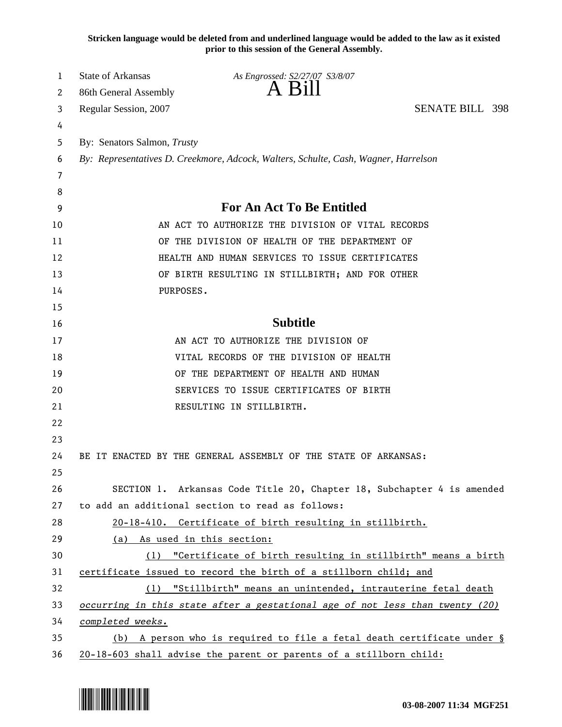**Stricken language would be deleted from and underlined language would be added to the law as it existed prior to this session of the General Assembly.**

| 1  | <b>State of Arkansas</b>                                                            | As Engrossed: S2/27/07 S3/8/07                                         |                        |  |  |
|----|-------------------------------------------------------------------------------------|------------------------------------------------------------------------|------------------------|--|--|
| 2  | 86th General Assembly                                                               | $A$ Bill                                                               |                        |  |  |
| 3  | Regular Session, 2007                                                               |                                                                        | <b>SENATE BILL 398</b> |  |  |
| 4  |                                                                                     |                                                                        |                        |  |  |
| 5  | By: Senators Salmon, Trusty                                                         |                                                                        |                        |  |  |
| 6  | By: Representatives D. Creekmore, Adcock, Walters, Schulte, Cash, Wagner, Harrelson |                                                                        |                        |  |  |
| 7  |                                                                                     |                                                                        |                        |  |  |
| 8  |                                                                                     |                                                                        |                        |  |  |
| 9  | <b>For An Act To Be Entitled</b>                                                    |                                                                        |                        |  |  |
| 10 | AN ACT TO AUTHORIZE THE DIVISION OF VITAL RECORDS                                   |                                                                        |                        |  |  |
| 11 | OF THE DIVISION OF HEALTH OF THE DEPARTMENT OF                                      |                                                                        |                        |  |  |
| 12 | HEALTH AND HUMAN SERVICES TO ISSUE CERTIFICATES                                     |                                                                        |                        |  |  |
| 13 | OF BIRTH RESULTING IN STILLBIRTH; AND FOR OTHER                                     |                                                                        |                        |  |  |
| 14 | PURPOSES.                                                                           |                                                                        |                        |  |  |
| 15 |                                                                                     |                                                                        |                        |  |  |
| 16 |                                                                                     | <b>Subtitle</b>                                                        |                        |  |  |
| 17 |                                                                                     | AN ACT TO AUTHORIZE THE DIVISION OF                                    |                        |  |  |
| 18 | VITAL RECORDS OF THE DIVISION OF HEALTH                                             |                                                                        |                        |  |  |
| 19 | OF THE DEPARTMENT OF HEALTH AND HUMAN                                               |                                                                        |                        |  |  |
| 20 | SERVICES TO ISSUE CERTIFICATES OF BIRTH                                             |                                                                        |                        |  |  |
| 21 | RESULTING IN STILLBIRTH.                                                            |                                                                        |                        |  |  |
| 22 |                                                                                     |                                                                        |                        |  |  |
| 23 |                                                                                     |                                                                        |                        |  |  |
| 24 | BE IT ENACTED BY THE GENERAL ASSEMBLY OF THE STATE OF ARKANSAS:                     |                                                                        |                        |  |  |
| 25 |                                                                                     |                                                                        |                        |  |  |
| 26 |                                                                                     | SECTION 1. Arkansas Code Title 20, Chapter 18, Subchapter 4 is amended |                        |  |  |
| 27 | to add an additional section to read as follows:                                    |                                                                        |                        |  |  |
| 28 |                                                                                     | 20-18-410. Certificate of birth resulting in stillbirth.               |                        |  |  |
| 29 | As used in this section:<br>(a)                                                     |                                                                        |                        |  |  |
| 30 |                                                                                     | (1) "Certificate of birth resulting in stillbirth" means a birth       |                        |  |  |
| 31 | certificate issued to record the birth of a stillborn child; and                    |                                                                        |                        |  |  |
| 32 | (1) "Stillbirth" means an unintended, intrauterine fetal death                      |                                                                        |                        |  |  |
| 33 | occurring in this state after a gestational age of not less than twenty (20)        |                                                                        |                        |  |  |
| 34 | completed weeks.                                                                    |                                                                        |                        |  |  |
| 35 | A person who is required to file a fetal death certificate under §<br>(b)           |                                                                        |                        |  |  |
| 36 | 20-18-603 shall advise the parent or parents of a stillborn child:                  |                                                                        |                        |  |  |